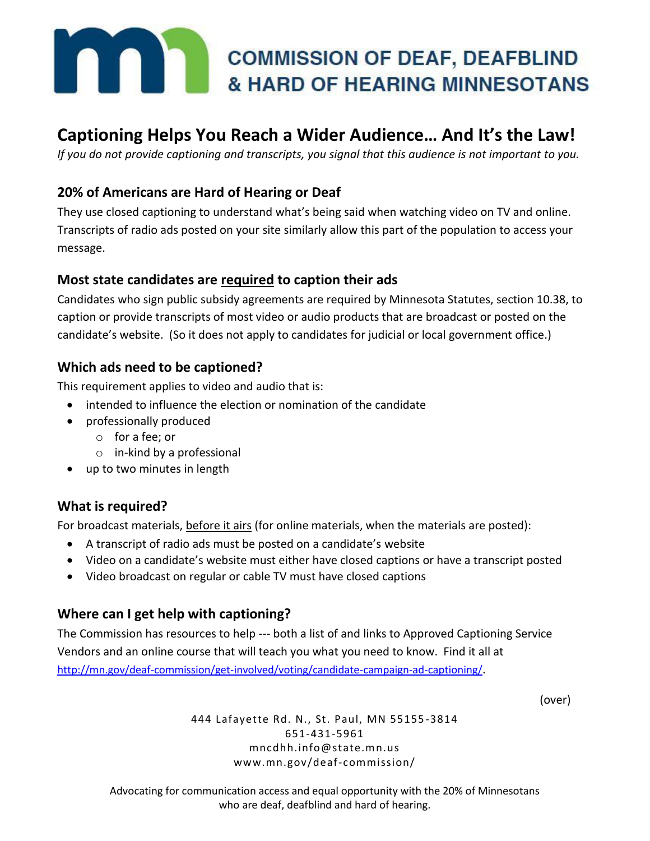# **EXECUTE AND ARRIVED AS SURE AND ARRIVED AT A STRAKE AND OF HEARING MINNESOTANS & HARD OF HEARING MINNESOTANS**

## **Captioning Helps You Reach a Wider Audience… And It's the Law!**

*If you do not provide captioning and transcripts, you signal that this audience is not important to you.*

#### **20% of Americans are Hard of Hearing or Deaf**

They use closed captioning to understand what's being said when watching video on TV and online. Transcripts of radio ads posted on your site similarly allow this part of the population to access your message.

#### **Most state candidates are required to caption their ads**

Candidates who sign public subsidy agreements are required by Minnesota Statutes, section 10.38, to caption or provide transcripts of most video or audio products that are broadcast or posted on the candidate's website. (So it does not apply to candidates for judicial or local government office.)

#### **Which ads need to be captioned?**

This requirement applies to video and audio that is:

- intended to influence the election or nomination of the candidate
- professionally produced
	- o for a fee; or
	- o in-kind by a professional
- up to two minutes in length

#### **What is required?**

For broadcast materials, before it airs (for online materials, when the materials are posted):

- A transcript of radio ads must be posted on a candidate's website
- Video on a candidate's website must either have closed captions or have a transcript posted
- Video broadcast on regular or cable TV must have closed captions

#### **Where can I get help with captioning?**

The Commission has resources to help --- both a list of and links to Approved Captioning Service Vendors and an online course that will teach you what you need to know. Find it all at <http://mn.gov/deaf-commission/get-involved/voting/candidate-campaign-ad-captioning/>.

(over)

444 Lafayette Rd. N., St. Paul, MN 55155 -3814 651-431-5961 mncdhh.info@state.mn.us www.mn.gov/deaf-commission/

Advocating for communication access and equal opportunity with the 20% of Minnesotans who are deaf, deafblind and hard of hearing.